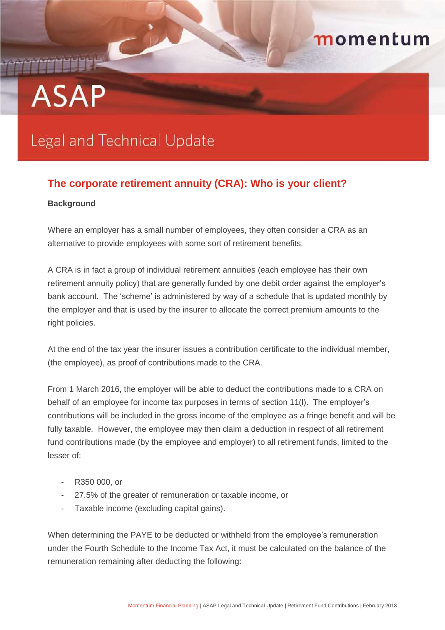## momentum

# **ASAP**

## **Legal and Technical Update**

### **The corporate retirement annuity (CRA): Who is your client?**

#### **Background**

Where an employer has a small number of employees, they often consider a CRA as an alternative to provide employees with some sort of retirement benefits.

A CRA is in fact a group of individual retirement annuities (each employee has their own retirement annuity policy) that are generally funded by one debit order against the employer's bank account. The 'scheme' is administered by way of a schedule that is updated monthly by the employer and that is used by the insurer to allocate the correct premium amounts to the right policies.

At the end of the tax year the insurer issues a contribution certificate to the individual member, (the employee), as proof of contributions made to the CRA.

From 1 March 2016, the employer will be able to deduct the contributions made to a CRA on behalf of an employee for income tax purposes in terms of section 11(l). The employer's contributions will be included in the gross income of the employee as a fringe benefit and will be fully taxable. However, the employee may then claim a deduction in respect of all retirement fund contributions made (by the employee and employer) to all retirement funds, limited to the lesser of:

- R350 000, or
- 27.5% of the greater of remuneration or taxable income, or
- Taxable income (excluding capital gains).

When determining the PAYE to be deducted or withheld from the employee's remuneration under the Fourth Schedule to the Income Tax Act, it must be calculated on the balance of the remuneration remaining after deducting the following: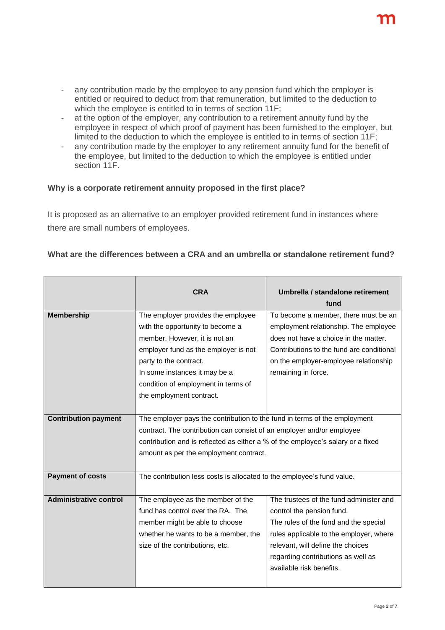$\overline{\phantom{a}}$ 

- any contribution made by the employee to any pension fund which the employer is entitled or required to deduct from that remuneration, but limited to the deduction to which the employee is entitled to in terms of section 11F;
- at the option of the employer, any contribution to a retirement annuity fund by the employee in respect of which proof of payment has been furnished to the employer, but limited to the deduction to which the employee is entitled to in terms of section 11F;
- any contribution made by the employer to any retirement annuity fund for the benefit of the employee, but limited to the deduction to which the employee is entitled under section 11F.

#### **Why is a corporate retirement annuity proposed in the first place?**

 $\blacksquare$ 

 $\blacksquare$ 

It is proposed as an alternative to an employer provided retirement fund in instances where there are small numbers of employees.

#### **What are the differences between a CRA and an umbrella or standalone retirement fund?**

|                               | CRA                                                                             | Umbrella / standalone retirement<br>fund  |  |
|-------------------------------|---------------------------------------------------------------------------------|-------------------------------------------|--|
| <b>Membership</b>             | The employer provides the employee                                              | To become a member, there must be an      |  |
|                               | with the opportunity to become a                                                | employment relationship. The employee     |  |
|                               | member. However, it is not an                                                   | does not have a choice in the matter.     |  |
|                               | employer fund as the employer is not                                            | Contributions to the fund are conditional |  |
|                               | party to the contract.                                                          | on the employer-employee relationship     |  |
|                               | In some instances it may be a                                                   | remaining in force.                       |  |
|                               | condition of employment in terms of                                             |                                           |  |
|                               | the employment contract.                                                        |                                           |  |
|                               |                                                                                 |                                           |  |
| <b>Contribution payment</b>   | The employer pays the contribution to the fund in terms of the employment       |                                           |  |
|                               | contract. The contribution can consist of an employer and/or employee           |                                           |  |
|                               | contribution and is reflected as either a % of the employee's salary or a fixed |                                           |  |
|                               | amount as per the employment contract.                                          |                                           |  |
|                               |                                                                                 |                                           |  |
| <b>Payment of costs</b>       | The contribution less costs is allocated to the employee's fund value.          |                                           |  |
|                               |                                                                                 |                                           |  |
| <b>Administrative control</b> | The employee as the member of the                                               | The trustees of the fund administer and   |  |
|                               | fund has control over the RA. The                                               | control the pension fund.                 |  |
|                               | member might be able to choose                                                  | The rules of the fund and the special     |  |
|                               | whether he wants to be a member, the                                            | rules applicable to the employer, where   |  |
|                               | size of the contributions, etc.                                                 | relevant, will define the choices         |  |
|                               |                                                                                 | regarding contributions as well as        |  |
|                               |                                                                                 | available risk benefits.                  |  |
|                               |                                                                                 |                                           |  |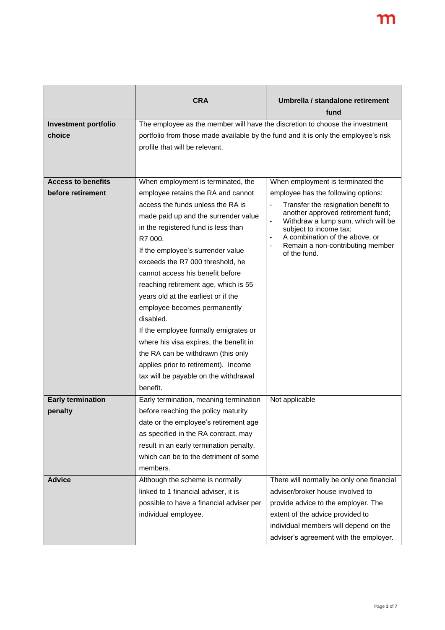|                             | <b>CRA</b>                                                                         | Umbrella / standalone retirement                                                               |
|-----------------------------|------------------------------------------------------------------------------------|------------------------------------------------------------------------------------------------|
|                             |                                                                                    | fund                                                                                           |
| <b>Investment portfolio</b> | The employee as the member will have the discretion to choose the investment       |                                                                                                |
| choice                      | portfolio from those made available by the fund and it is only the employee's risk |                                                                                                |
|                             | profile that will be relevant.                                                     |                                                                                                |
|                             |                                                                                    |                                                                                                |
|                             |                                                                                    |                                                                                                |
| <b>Access to benefits</b>   | When employment is terminated, the                                                 | When employment is terminated the                                                              |
| before retirement           | employee retains the RA and cannot                                                 | employee has the following options:                                                            |
|                             | access the funds unless the RA is                                                  | Transfer the resignation benefit to<br>$\blacksquare$                                          |
|                             | made paid up and the surrender value                                               | another approved retirement fund;<br>Withdraw a lump sum, which will be                        |
|                             | in the registered fund is less than                                                | subject to income tax;                                                                         |
|                             | R7 000.                                                                            | A combination of the above, or<br>Remain a non-contributing member<br>$\overline{\phantom{a}}$ |
|                             | If the employee's surrender value                                                  | of the fund.                                                                                   |
|                             | exceeds the R7 000 threshold, he                                                   |                                                                                                |
|                             | cannot access his benefit before                                                   |                                                                                                |
|                             | reaching retirement age, which is 55                                               |                                                                                                |
|                             | years old at the earliest or if the                                                |                                                                                                |
|                             | employee becomes permanently                                                       |                                                                                                |
|                             | disabled.                                                                          |                                                                                                |
|                             | If the employee formally emigrates or                                              |                                                                                                |
|                             | where his visa expires, the benefit in                                             |                                                                                                |
|                             | the RA can be withdrawn (this only                                                 |                                                                                                |
|                             | applies prior to retirement). Income                                               |                                                                                                |
|                             | tax will be payable on the withdrawal                                              |                                                                                                |
|                             | benefit.                                                                           |                                                                                                |
| <b>Early termination</b>    | Early termination, meaning termination                                             | Not applicable                                                                                 |
| penalty                     | before reaching the policy maturity                                                |                                                                                                |
|                             | date or the employee's retirement age                                              |                                                                                                |
|                             | as specified in the RA contract, may                                               |                                                                                                |
|                             | result in an early termination penalty,                                            |                                                                                                |
|                             | which can be to the detriment of some                                              |                                                                                                |
|                             | members.                                                                           |                                                                                                |
| <b>Advice</b>               | Although the scheme is normally                                                    | There will normally be only one financial                                                      |
|                             | linked to 1 financial adviser, it is                                               | adviser/broker house involved to                                                               |
|                             | possible to have a financial adviser per                                           | provide advice to the employer. The                                                            |
|                             | individual employee.                                                               | extent of the advice provided to                                                               |
|                             |                                                                                    | individual members will depend on the                                                          |
|                             |                                                                                    | adviser's agreement with the employer.                                                         |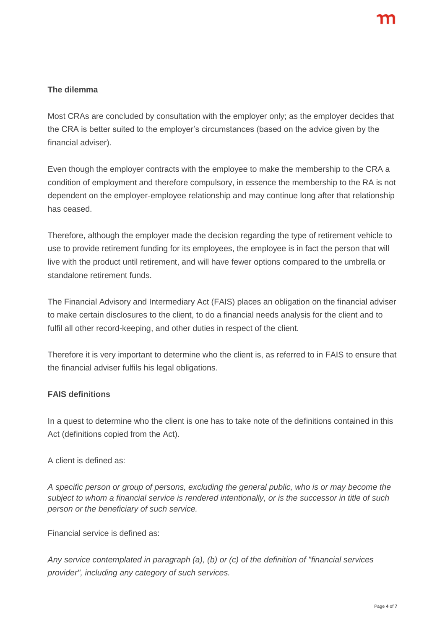#### **The dilemma**

Most CRAs are concluded by consultation with the employer only; as the employer decides that the CRA is better suited to the employer's circumstances (based on the advice given by the financial adviser).

Even though the employer contracts with the employee to make the membership to the CRA a condition of employment and therefore compulsory, in essence the membership to the RA is not dependent on the employer-employee relationship and may continue long after that relationship has ceased.

Therefore, although the employer made the decision regarding the type of retirement vehicle to use to provide retirement funding for its employees, the employee is in fact the person that will live with the product until retirement, and will have fewer options compared to the umbrella or standalone retirement funds.

The Financial Advisory and Intermediary Act (FAIS) places an obligation on the financial adviser to make certain disclosures to the client, to do a financial needs analysis for the client and to fulfil all other record-keeping, and other duties in respect of the client.

Therefore it is very important to determine who the client is, as referred to in FAIS to ensure that the financial adviser fulfils his legal obligations.

#### **FAIS definitions**

In a quest to determine who the client is one has to take note of the definitions contained in this Act (definitions copied from the Act).

A client is defined as:

*A specific person or group of persons, excluding the general public, who is or may become the subject to whom a financial service is rendered intentionally, or is the successor in title of such person or the beneficiary of such service.*

Financial service is defined as:

*Any service contemplated in paragraph (a), (b) or (c) of the definition of "financial services provider", including any category of such services.*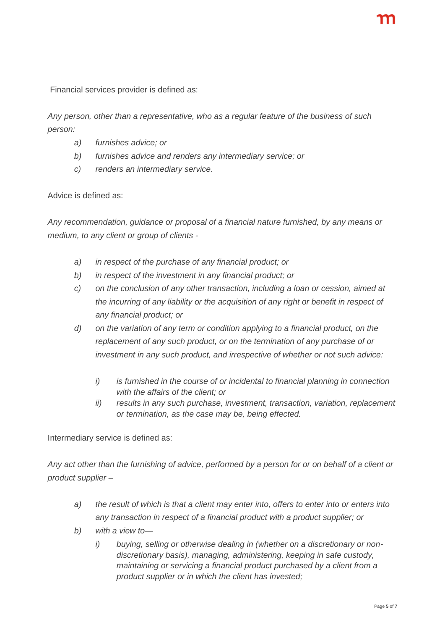Financial services provider is defined as:

*Any person, other than a representative, who as a regular feature of the business of such person:*

- *a) furnishes advice; or*
- *b) furnishes advice and renders any intermediary service; or*
- *c) renders an intermediary service.*

Advice is defined as:

*Any recommendation, guidance or proposal of a financial nature furnished, by any means or medium, to any client or group of clients -*

- *a) in respect of the purchase of any financial product; or*
- *b) in respect of the investment in any financial product; or*
- *c) on the conclusion of any other transaction, including a loan or cession, aimed at the incurring of any liability or the acquisition of any right or benefit in respect of any financial product; or*
- *d) on the variation of any term or condition applying to a financial product, on the replacement of any such product, or on the termination of any purchase of or investment in any such product, and irrespective of whether or not such advice:* 
	- *i) is furnished in the course of or incidental to financial planning in connection with the affairs of the client; or*
	- *ii) results in any such purchase, investment, transaction, variation, replacement or termination, as the case may be, being effected.*

Intermediary service is defined as:

*Any act other than the furnishing of advice, performed by a person for or on behalf of a client or product supplier –*

- *a) the result of which is that a client may enter into, offers to enter into or enters into any transaction in respect of a financial product with a product supplier; or*
- *b) with a view to*
	- *i) buying, selling or otherwise dealing in (whether on a discretionary or nondiscretionary basis), managing, administering, keeping in safe custody, maintaining or servicing a financial product purchased by a client from a product supplier or in which the client has invested;*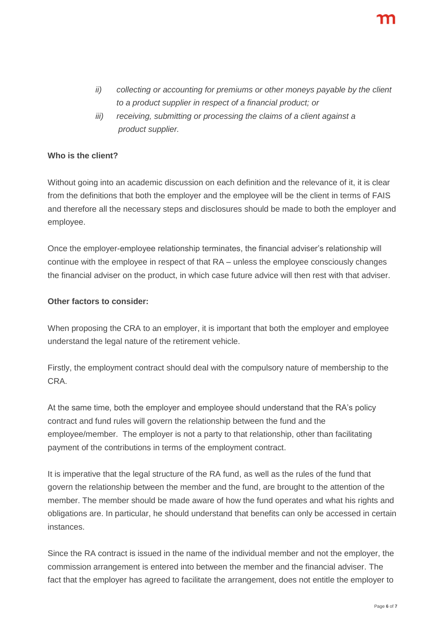- *ii) collecting or accounting for premiums or other moneys payable by the client to a product supplier in respect of a financial product; or*
- *iii) receiving, submitting or processing the claims of a client against a product supplier.*

#### **Who is the client?**

Without going into an academic discussion on each definition and the relevance of it, it is clear from the definitions that both the employer and the employee will be the client in terms of FAIS and therefore all the necessary steps and disclosures should be made to both the employer and employee.

Once the employer-employee relationship terminates, the financial adviser's relationship will continue with the employee in respect of that RA – unless the employee consciously changes the financial adviser on the product, in which case future advice will then rest with that adviser.

#### **Other factors to consider:**

When proposing the CRA to an employer, it is important that both the employer and employee understand the legal nature of the retirement vehicle.

Firstly, the employment contract should deal with the compulsory nature of membership to the CRA.

At the same time, both the employer and employee should understand that the RA's policy contract and fund rules will govern the relationship between the fund and the employee/member. The employer is not a party to that relationship, other than facilitating payment of the contributions in terms of the employment contract.

It is imperative that the legal structure of the RA fund, as well as the rules of the fund that govern the relationship between the member and the fund, are brought to the attention of the member. The member should be made aware of how the fund operates and what his rights and obligations are. In particular, he should understand that benefits can only be accessed in certain instances.

Since the RA contract is issued in the name of the individual member and not the employer, the commission arrangement is entered into between the member and the financial adviser. The fact that the employer has agreed to facilitate the arrangement, does not entitle the employer to